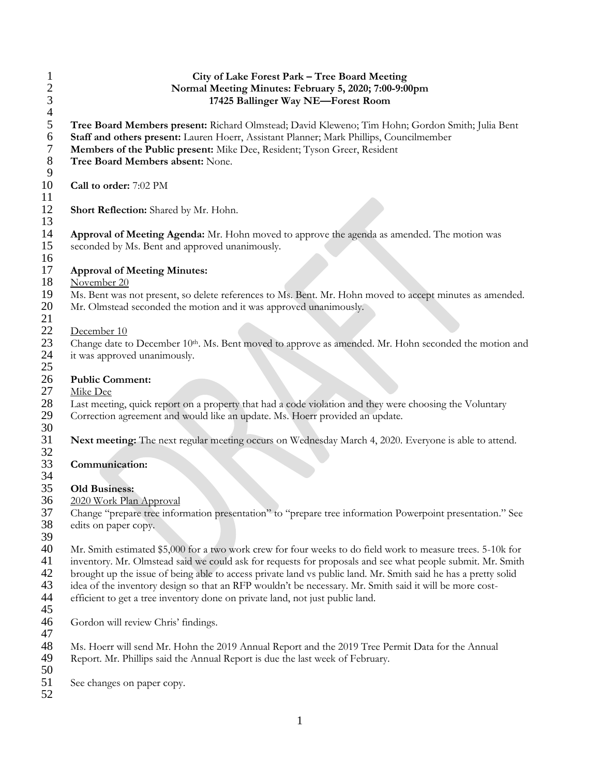| 1<br>$\overline{c}$<br>3<br>$\overline{4}$ | City of Lake Forest Park - Tree Board Meeting<br>Normal Meeting Minutes: February 5, 2020; 7:00-9:00pm<br>17425 Ballinger Way NE-Forest Room                                                                                                                                                                                                                                                                                                                                                                                            |
|--------------------------------------------|-----------------------------------------------------------------------------------------------------------------------------------------------------------------------------------------------------------------------------------------------------------------------------------------------------------------------------------------------------------------------------------------------------------------------------------------------------------------------------------------------------------------------------------------|
| 5<br>6<br>7<br>$8\,$<br>9                  | Tree Board Members present: Richard Olmstead; David Kleweno; Tim Hohn; Gordon Smith; Julia Bent<br>Staff and others present: Lauren Hoerr, Assistant Planner; Mark Phillips, Councilmember<br>Members of the Public present: Mike Dee, Resident; Tyson Greer, Resident<br>Tree Board Members absent: None.                                                                                                                                                                                                                              |
| 10<br>11                                   | Call to order: 7:02 PM                                                                                                                                                                                                                                                                                                                                                                                                                                                                                                                  |
| 12<br>13                                   | Short Reflection: Shared by Mr. Hohn.                                                                                                                                                                                                                                                                                                                                                                                                                                                                                                   |
| 14<br>15<br>16                             | Approval of Meeting Agenda: Mr. Hohn moved to approve the agenda as amended. The motion was<br>seconded by Ms. Bent and approved unanimously.                                                                                                                                                                                                                                                                                                                                                                                           |
| 17<br>18                                   | <b>Approval of Meeting Minutes:</b><br>November 20                                                                                                                                                                                                                                                                                                                                                                                                                                                                                      |
| 19<br>20<br>21                             | Ms. Bent was not present, so delete references to Ms. Bent. Mr. Hohn moved to accept minutes as amended.<br>Mr. Olmstead seconded the motion and it was approved unanimously.                                                                                                                                                                                                                                                                                                                                                           |
| 22<br>23<br>24<br>25                       | December 10<br>Change date to December 10th. Ms. Bent moved to approve as amended. Mr. Hohn seconded the motion and<br>it was approved unanimously.                                                                                                                                                                                                                                                                                                                                                                                     |
| 26<br>27                                   | <b>Public Comment:</b><br>Mike Dee                                                                                                                                                                                                                                                                                                                                                                                                                                                                                                      |
| 28<br>29<br>30                             | Last meeting, quick report on a property that had a code violation and they were choosing the Voluntary<br>Correction agreement and would like an update. Ms. Hoerr provided an update.                                                                                                                                                                                                                                                                                                                                                 |
| 31<br>32                                   | Next meeting: The next regular meeting occurs on Wednesday March 4, 2020. Everyone is able to attend.                                                                                                                                                                                                                                                                                                                                                                                                                                   |
| 33<br>34                                   | Communication:                                                                                                                                                                                                                                                                                                                                                                                                                                                                                                                          |
| 35<br>36                                   | <b>Old Business:</b><br>2020 Work Plan Approval                                                                                                                                                                                                                                                                                                                                                                                                                                                                                         |
| 37<br>38<br>39                             | Change "prepare tree information presentation" to "prepare tree information Powerpoint presentation." See<br>edits on paper copy.                                                                                                                                                                                                                                                                                                                                                                                                       |
| 40<br>41<br>42<br>43<br>44                 | Mr. Smith estimated \$5,000 for a two work crew for four weeks to do field work to measure trees. 5-10k for<br>inventory. Mr. Olmstead said we could ask for requests for proposals and see what people submit. Mr. Smith<br>brought up the issue of being able to access private land vs public land. Mr. Smith said he has a pretty solid<br>idea of the inventory design so that an RFP wouldn't be necessary. Mr. Smith said it will be more cost-<br>efficient to get a tree inventory done on private land, not just public land. |
| 45<br>46<br>47                             | Gordon will review Chris' findings.                                                                                                                                                                                                                                                                                                                                                                                                                                                                                                     |
| 48<br>49                                   | Ms. Hoerr will send Mr. Hohn the 2019 Annual Report and the 2019 Tree Permit Data for the Annual<br>Report. Mr. Phillips said the Annual Report is due the last week of February.                                                                                                                                                                                                                                                                                                                                                       |
| 50<br>51<br>52                             | See changes on paper copy.                                                                                                                                                                                                                                                                                                                                                                                                                                                                                                              |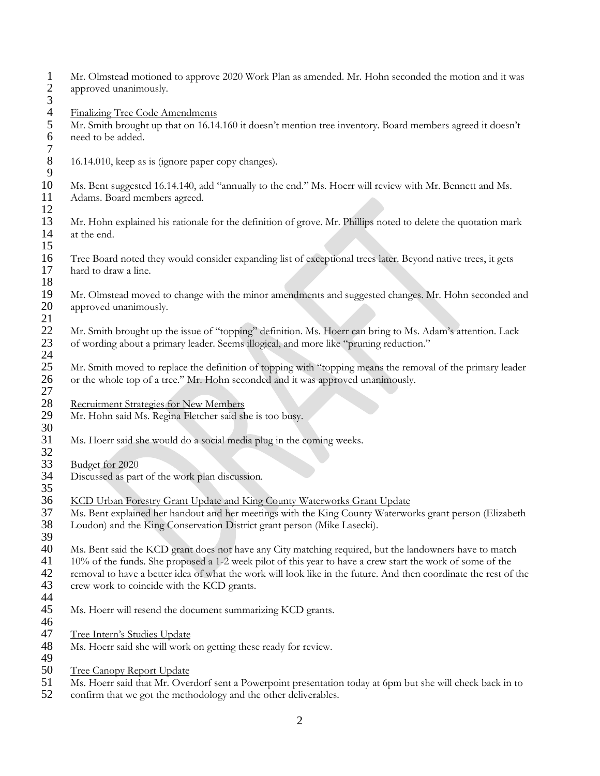1 Mr. Olmstead motioned to approve 2020 Work Plan as amended. Mr. Hohn seconded the motion and it was approved unanimously. approved unanimously. 3 4 Finalizing Tree Code Amendments<br>5 Mr. Smith brought up that on 16.14 5 Mr. Smith brought up that on 16.14.160 it doesn't mention tree inventory. Board members agreed it doesn't need to be added.  $7\over 8$ 16.14.010, keep as is (ignore paper copy changes). 9 10 Ms. Bent suggested 16.14.140, add "annually to the end." Ms. Hoerr will review with Mr. Bennett and Ms. 11 Adams. Board members agreed.  $\frac{12}{13}$ 13 Mr. Hohn explained his rationale for the definition of grove. Mr. Phillips noted to delete the quotation mark at the end. at the end. 15 16 Tree Board noted they would consider expanding list of exceptional trees later. Beyond native trees, it gets hard to draw a line. hard to draw a line. 18 19 Mr. Olmstead moved to change with the minor amendments and suggested changes. Mr. Hohn seconded and approved unanimously. approved unanimously.  $\frac{21}{22}$ 22 Mr. Smith brought up the issue of "topping" definition. Ms. Hoerr can bring to Ms. Adam's attention. Lack 23 of wording about a primary leader. Seems illogical, and more like "pruning reduction."  $\frac{24}{25}$ 25 Mr. Smith moved to replace the definition of topping with "topping means the removal of the primary leader<br>26 or the whole top of a tree." Mr. Hohn seconded and it was approved unanimously. 26 or the whole top of a tree." Mr. Hohn seconded and it was approved unanimously. 27 28 Recruitment Strategies for New Members<br>29 Mr. Hohn said Ms. Regina Fletcher said sh Mr. Hohn said Ms. Regina Fletcher said she is too busy. 30 31 Ms. Hoerr said she would do a social media plug in the coming weeks. 32<br>33 33 <u>Budget for 2020</u><br>34 Discussed as part Discussed as part of the work plan discussion. 35 36 KCD Urban Forestry Grant Update and King County Waterworks Grant Update<br>37 Ms. Bent explained her handout and her meetings with the King County Waterwo 37 Ms. Bent explained her handout and her meetings with the King County Waterworks grant person (Elizabeth 38 Loudon) and the King Conservation District grant person (Mike Lasecki). Loudon) and the King Conservation District grant person (Mike Lasecki). 39 40 Ms. Bent said the KCD grant does not have any City matching required, but the landowners have to match 41 10% of the funds. She proposed a 1-2 week pilot of this year to have a crew start the work of some of the removal to have a better idea of what the work will look like in the future. And then coordinate the rest of removal to have a better idea of what the work will look like in the future. And then coordinate the rest of the 43 crew work to coincide with the KCD grants. 44<br>45 Ms. Hoerr will resend the document summarizing KCD grants. 46 47 Tree Intern's Studies Update<br>48 Ms. Hoerr said she will work Ms. Hoerr said she will work on getting these ready for review. 49 50 Tree Canopy Report Update 51 Ms. Hoerr said that Mr. Overdorf sent a Powerpoint presentation today at 6pm but she will check back in to<br>52 confirm that we got the methodology and the other deliverables. confirm that we got the methodology and the other deliverables.